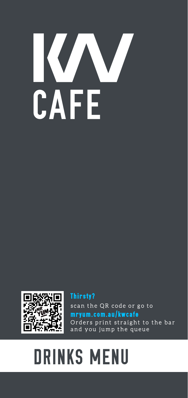# K AFE



**Thirsty?** scan the QR code or go to mryum.com.au/kwcafe Orders print straight to the bar and you jump the queue

# **DRINKS MENU**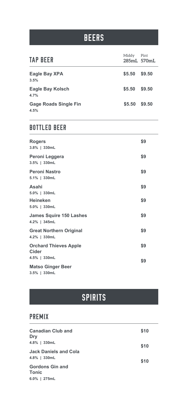## BEERS

| <b>TAP BEER</b>                      | Middy<br>285mL 570mL | Pint   |
|--------------------------------------|----------------------|--------|
| <b>Eagle Bay XPA</b><br>3.5%         | \$5.50               | \$9.50 |
| <b>Eagle Bay Kolsch</b><br>4.7%      | \$5.50 \$9.50        |        |
| <b>Gage Roads Single Fin</b><br>4.5% | \$5.50               | \$9.50 |

#### BOTTLED BEER

| <b>Rogers</b><br>3.8%   330mL                  | \$9 |
|------------------------------------------------|-----|
| Peroni Leggera<br>$3.5\%$   330mL              | \$9 |
| Peroni Nastro<br>5.1%   330mL                  | \$9 |
| Asahi<br>5.0%   330mL                          | \$9 |
| <b>Heineken</b><br>5.0%   330mL                | \$9 |
| <b>James Squire 150 Lashes</b><br>4.2%   345mL | \$9 |
| <b>Great Northern Original</b><br>4.2%   330mL | \$9 |
| <b>Orchard Thieves Apple</b><br><b>Cider</b>   | \$9 |
| 4.5%   330mL                                   | \$9 |
| <b>Matso Ginger Beer</b>                       |     |

**3.5% | 330mL**

# **SPIRITS**

#### PREMIX

| <b>Canadian Club and</b><br>Dry | \$10 |
|---------------------------------|------|
| 4.8%   330mL                    | \$10 |
| <b>Jack Daniels and Cola</b>    |      |
| 4.8%   330mL                    | \$10 |
| <b>Gordons Gin and</b>          |      |
| <b>Tonic</b>                    |      |
| $6.0\%$   275mL                 |      |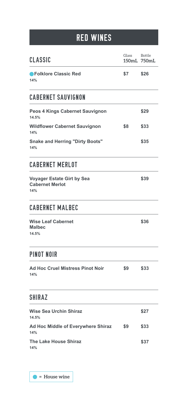# RED WINES

| CLASSIC                                                            | Glass | <b>Bottle</b><br>150mL 750mL |
|--------------------------------------------------------------------|-------|------------------------------|
| <b>PFolklore Classic Red</b><br>14%                                | \$7   | \$26                         |
| <b>CABERNET SAUVIGNON</b>                                          |       |                              |
| <b>Peos 4 Kings Cabernet Sauvignon</b><br>14.5%                    |       | \$29                         |
| <b>Wildflower Cabernet Sauvignon</b><br>14%                        | \$8   | \$33                         |
| <b>Snake and Herring "Dirty Boots"</b><br>14%                      |       | \$35                         |
| <b>CABERNET MERLOT</b>                                             |       |                              |
| <b>Voyager Estate Girt by Sea</b><br><b>Cabernet Merlot</b><br>14% |       | \$39                         |
| <b>CABERNET MALBEC</b>                                             |       |                              |
| <b>Wise Leaf Cabernet</b><br><b>Malbec</b><br>14.5%                |       | \$36                         |
| PINOT NOIR                                                         |       |                              |
| <b>Ad Hoc Cruel Mistress Pinot Noir</b><br>14%                     | \$9   | \$33                         |
| <b>SHIRAZ</b>                                                      |       |                              |
| <b>Wise Sea Urchin Shiraz</b><br>14.5%                             |       | \$27                         |
| Ad Hoc Middle of Everywhere Shiraz<br>14%                          | \$9   | \$33                         |
| <b>The Lake House Shiraz</b><br>14%                                |       | \$37                         |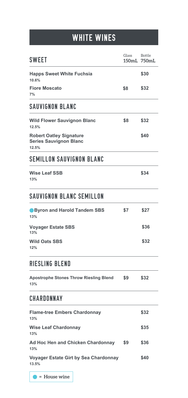# WHITE WINES

| <b>SWEET</b>                                                             | Glass | <b>Bottle</b><br>150mL 750mL |
|--------------------------------------------------------------------------|-------|------------------------------|
| <b>Happs Sweet White Fuchsia</b><br>10.6%                                |       | \$30                         |
| <b>Fiore Moscato</b><br>7%                                               | \$8   | \$32                         |
| <b>SAUVIGNON BLANC</b>                                                   |       |                              |
| <b>Wild Flower Sauvignon Blanc</b><br>12.5%                              | \$8   | \$32                         |
| <b>Robert Oatley Signature</b><br><b>Series Sauvignon Blanc</b><br>12.5% |       | \$40                         |
| <b>SEMILLON SAUVIGNON BLANC</b>                                          |       |                              |
| <b>Wise Leaf SSB</b><br>13%                                              |       | \$34                         |
| SAUVIGNON BLANC SEMILLON                                                 |       |                              |
| <b>Byron and Harold Tandem SBS</b><br>13%                                | \$7   | \$27                         |
| <b>Voyager Estate SBS</b><br>13%                                         |       | \$36                         |
| <b>Wild Oats SBS</b><br>12%                                              |       | \$32                         |
| RIESLING BLEND                                                           |       |                              |
| <b>Apostrophe Stones Throw Riesling Blend</b><br>13%                     | \$9   | \$32                         |
| <b>CHARDONNAY</b>                                                        |       |                              |
| <b>Flame-tree Embers Chardonnay</b><br>13%                               |       | \$32                         |
| <b>Wise Leaf Chardonnay</b><br>13%                                       |       | \$35                         |
| <b>Ad Hoc Hen and Chicken Chardonnay</b><br>13%                          | \$9   | \$36                         |
| <b>Voyager Estate Girt by Sea Chardonnay</b><br>13.5%                    |       | \$40                         |

 **= House wine**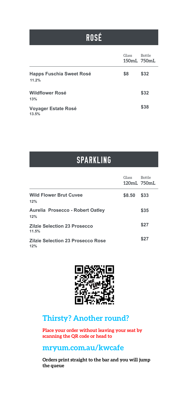# ROSÉ

|                                          | Glass | <b>Bottle</b><br>150mL 750mL |
|------------------------------------------|-------|------------------------------|
| <b>Happs Fuschia Sweet Rosé</b><br>11.2% | \$8   | \$32                         |
| <b>Wildflower Rosé</b><br>13%            |       | \$32                         |
| <b>Voyager Estate Rosé</b><br>13.5%      |       | \$38                         |

### SPARKLING

|                                                 | Glass<br>120mL 750mL | <b>Bottle</b> |
|-------------------------------------------------|----------------------|---------------|
| <b>Wild Flower Brut Cuvee</b><br>12%            | \$8.50               | \$33          |
| <b>Aurelia Prosecco - Robert Oatley</b><br>12%  |                      | \$35          |
| <b>Zilzie Selection 23 Prosecco</b><br>11.5%    |                      | \$27          |
| <b>Zilzie Selection 23 Prosecco Rose</b><br>12% |                      | \$27          |



#### **Thirsty? Another round?**

**Place your order without leaving your seat by scanning the QR code or head to**

#### **mryum.com.au/kwcafe**

**Orders print straight to the bar and you will jump the queue**